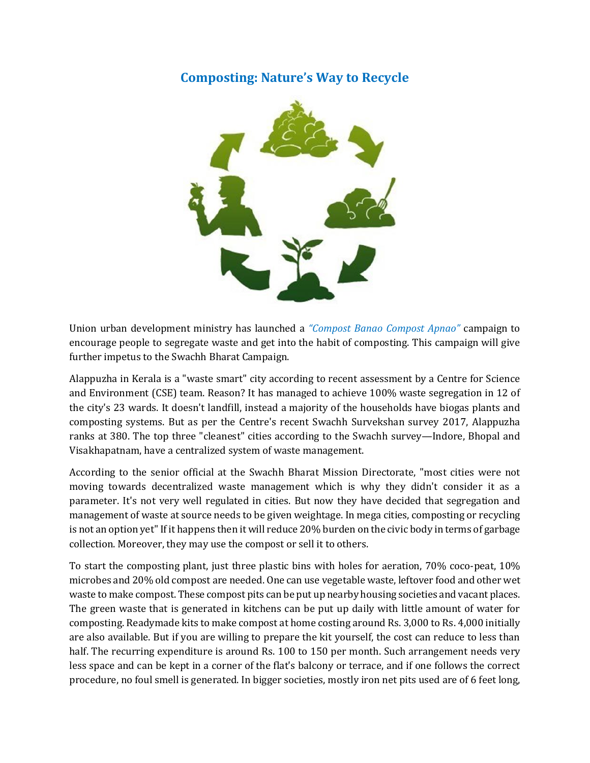# **Composting: Nature's Way to Recycle**



Union urban development ministry has launched a *"Compost Banao Compost Apnao"* campaign to encourage people to segregate waste and get into the habit of composting. This campaign will give further impetus to the Swachh Bharat Campaign.

Alappuzha in Kerala is a "waste smart" city according to recent assessment by a Centre for Science and Environment (CSE) team. Reason? It has managed to achieve 100% waste segregation in 12 of the city's 23 wards. It doesn't landfill, instead a majority of the households have biogas plants and composting systems. But as per the Centre's recent Swachh Survekshan survey 2017, Alappuzha ranks at 380. The top three "cleanest" cities according to the Swachh survey—Indore, Bhopal and Visakhapatnam, have a centralized system of waste management.

According to the senior official at the Swachh Bharat Mission Directorate, "most cities were not moving towards decentralized waste management which is why they didn't consider it as a parameter. It's not very well regulated in cities. But now they have decided that segregation and management of waste at source needs to be given weightage. In mega cities, composting or recycling is not an option yet" If it happens then it will reduce 20% burden on the civic body in terms of garbage collection. Moreover, they may use the compost or sell it to others.

To start the composting plant, just three plastic bins with holes for aeration, 70% coco-peat, 10% microbes and 20% old compost are needed. One can use vegetable waste, leftover food and other wet waste to make compost. These compost pits can be put up nearby housing societies and vacant places. The green waste that is generated in kitchens can be put up daily with little amount of water for composting. Readymade kits to make compost at home costing around Rs. 3,000 to Rs. 4,000 initially are also available. But if you are willing to prepare the kit yourself, the cost can reduce to less than half. The recurring expenditure is around Rs. 100 to 150 per month. Such arrangement needs very less space and can be kept in a corner of the flat's balcony or terrace, and if one follows the correct procedure, no foul smell is generated. In bigger societies, mostly iron net pits used are of 6 feet long,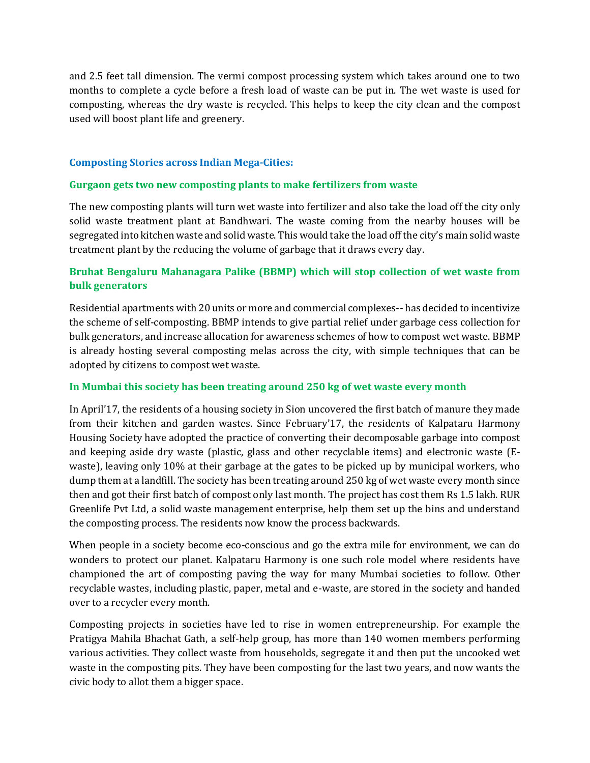and 2.5 feet tall dimension. The vermi compost processing system which takes around one to two months to complete a cycle before a fresh load of waste can be put in. The wet waste is used for composting, whereas the dry waste is recycled. This helps to keep the city clean and the compost used will boost plant life and greenery.

### **Composting Stories across Indian Mega-Cities:**

### **Gurgaon gets two new composting plants to make fertilizers from waste**

The new composting plants will turn wet waste into fertilizer and also take the load off the city only solid waste treatment plant at Bandhwari. The waste coming from the nearby houses will be segregated into kitchen waste and solid waste. This would take the load off the city's main solid waste treatment plant by the reducing the volume of garbage that it draws every day.

# **Bruhat Bengaluru Mahanagara Palike (BBMP) which will stop collection of wet waste from bulk generators**

Residential apartments with 20 units or more and commercial complexes-- has decided to incentivize the scheme of self-composting. BBMP intends to give partial relief under garbage cess collection for bulk generators, and increase allocation for awareness schemes of how to compost wet waste. BBMP is already hosting several composting melas across the city, with simple techniques that can be adopted by citizens to compost wet waste.

## **In Mumbai this society has been treating around 250 kg of wet waste every month**

In April'17, the residents of a housing society in Sion uncovered the first batch of manure they made from their kitchen and garden wastes. Since February'17, the residents of Kalpataru Harmony Housing Society have adopted the practice of converting their decomposable garbage into compost and keeping aside dry waste (plastic, glass and other recyclable items) and electronic waste (Ewaste), leaving only 10% at their garbage at the gates to be picked up by municipal workers, who dump them at a landfill. The society has been treating around 250 kg of wet waste every month since then and got their first batch of compost only last month. The project has cost them Rs 1.5 lakh. RUR Greenlife Pvt Ltd, a solid waste management enterprise, help them set up the bins and understand the composting process. The residents now know the process backwards.

When people in a society become eco-conscious and go the extra mile for environment, we can do wonders to protect our planet. Kalpataru Harmony is one such role model where residents have championed the art of composting paving the way for many Mumbai societies to follow. Other recyclable wastes, including plastic, paper, metal and e-waste, are stored in the society and handed over to a recycler every month.

Composting projects in societies have led to rise in women entrepreneurship. For example the Pratigya Mahila Bhachat Gath, a self-help group, has more than 140 women members performing various activities. They collect waste from households, segregate it and then put the uncooked wet waste in the composting pits. They have been composting for the last two years, and now wants the civic body to allot them a bigger space.